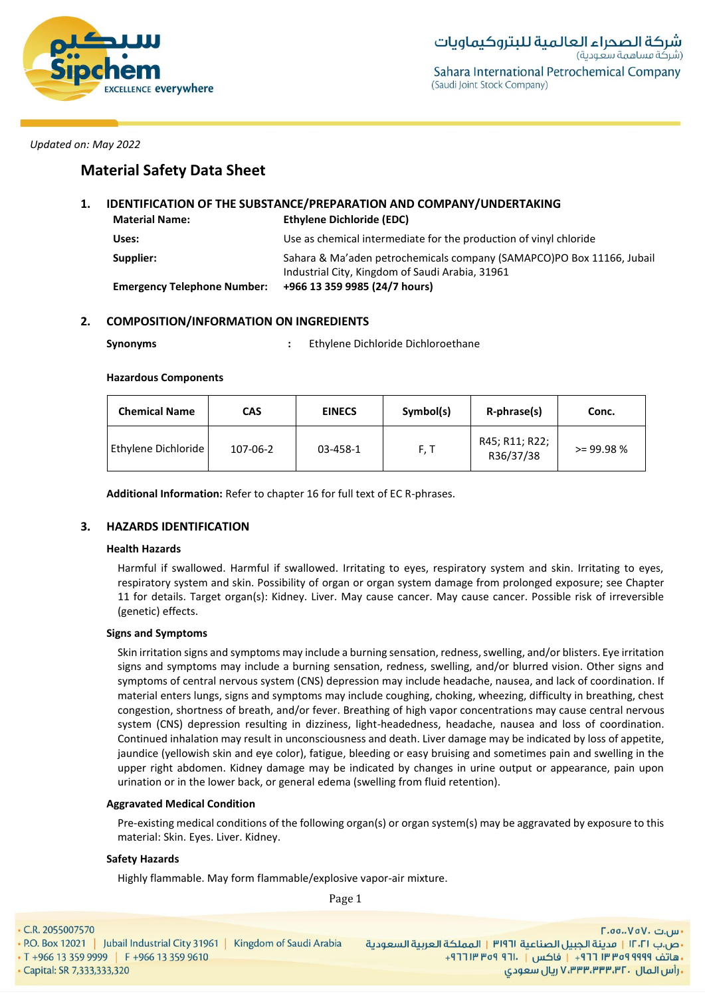

# **Material Safety Data Sheet**

## **1. IDENTIFICATION OF THE SUBSTANCE/PREPARATION AND COMPANY/UNDERTAKING Material Name: Ethylene Dichloride (EDC) Uses:** Use as chemical intermediate for the production of vinyl chloride

| Supplier:                          | Sahara & Ma'aden petrochemicals company (SAMAPCO)PO Box 11166, Jubail |
|------------------------------------|-----------------------------------------------------------------------|
|                                    | Industrial City, Kingdom of Saudi Arabia, 31961                       |
| <b>Emergency Telephone Number:</b> | +966 13 359 9985 (24/7 hours)                                         |

## **2. COMPOSITION/INFORMATION ON INGREDIENTS**

| <b>Synonyms</b> | Ethylene Dichloride Dichloroethane |
|-----------------|------------------------------------|
|                 |                                    |

#### **Hazardous Components**

| <b>Chemical Name</b> | <b>EINECS</b><br>CAS |          | Symbol(s) | R-phrase(s)                 | Conc.        |
|----------------------|----------------------|----------|-----------|-----------------------------|--------------|
| Ethylene Dichloride  | 107-06-2             | 03-458-1 | F, T      | R45; R11; R22;<br>R36/37/38 | $>= 99.98 %$ |

**Additional Information:** Refer to chapter 16 for full text of EC R-phrases.

## **3. HAZARDS IDENTIFICATION**

## **Health Hazards**

Harmful if swallowed. Harmful if swallowed. Irritating to eyes, respiratory system and skin. Irritating to eyes, respiratory system and skin. Possibility of organ or organ system damage from prolonged exposure; see Chapter 11 for details. Target organ(s): Kidney. Liver. May cause cancer. May cause cancer. Possible risk of irreversible (genetic) effects.

## **Signs and Symptoms**

Skin irritation signs and symptoms may include a burning sensation, redness, swelling, and/or blisters. Eye irritation signs and symptoms may include a burning sensation, redness, swelling, and/or blurred vision. Other signs and symptoms of central nervous system (CNS) depression may include headache, nausea, and lack of coordination. If material enters lungs, signs and symptoms may include coughing, choking, wheezing, difficulty in breathing, chest congestion, shortness of breath, and/or fever. Breathing of high vapor concentrations may cause central nervous system (CNS) depression resulting in dizziness, light-headedness, headache, nausea and loss of coordination. Continued inhalation may result in unconsciousness and death. Liver damage may be indicated by loss of appetite, jaundice (yellowish skin and eye color), fatigue, bleeding or easy bruising and sometimes pain and swelling in the upper right abdomen. Kidney damage may be indicated by changes in urine output or appearance, pain upon urination or in the lower back, or general edema (swelling from fluid retention).

## **Aggravated Medical Condition**

Pre-existing medical conditions of the following organ(s) or organ system(s) may be aggravated by exposure to this material: Skin. Eyes. Liver. Kidney.

## **Safety Hazards**

Highly flammable. May form flammable/explosive vapor-air mixture.

C.R. 2055007570

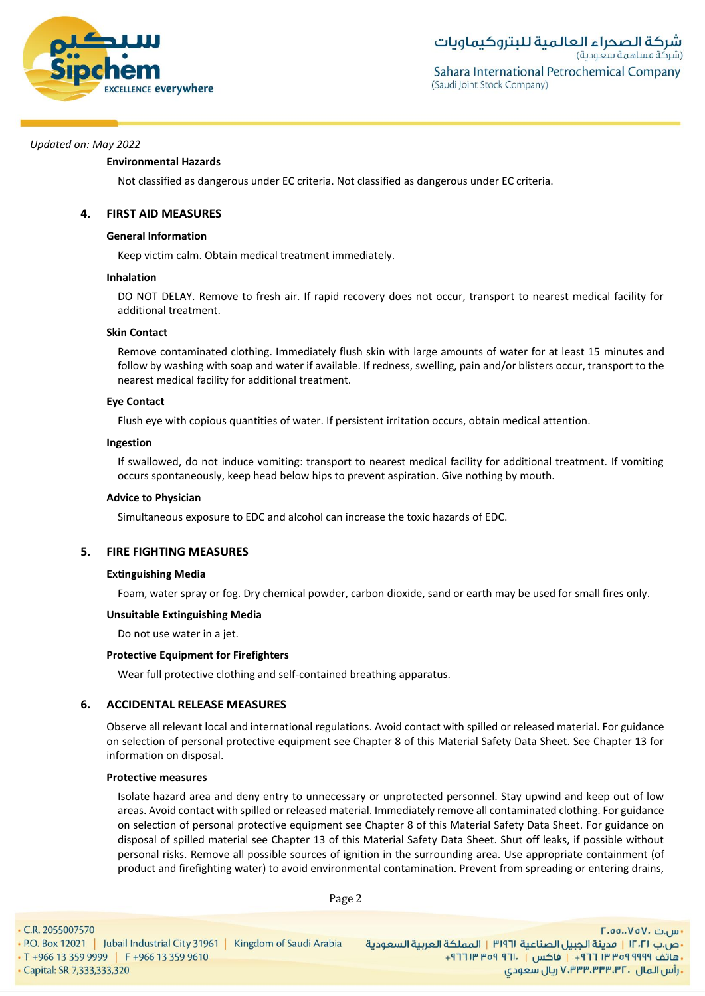

### **Environmental Hazards**

Not classified as dangerous under EC criteria. Not classified as dangerous under EC criteria.

## **4. FIRST AID MEASURES**

### **General Information**

Keep victim calm. Obtain medical treatment immediately.

#### **Inhalation**

DO NOT DELAY. Remove to fresh air. If rapid recovery does not occur, transport to nearest medical facility for additional treatment.

#### **Skin Contact**

Remove contaminated clothing. Immediately flush skin with large amounts of water for at least 15 minutes and follow by washing with soap and water if available. If redness, swelling, pain and/or blisters occur, transport to the nearest medical facility for additional treatment.

#### **Eye Contact**

Flush eye with copious quantities of water. If persistent irritation occurs, obtain medical attention.

#### **Ingestion**

If swallowed, do not induce vomiting: transport to nearest medical facility for additional treatment. If vomiting occurs spontaneously, keep head below hips to prevent aspiration. Give nothing by mouth.

#### **Advice to Physician**

Simultaneous exposure to EDC and alcohol can increase the toxic hazards of EDC.

## **5. FIRE FIGHTING MEASURES**

#### **Extinguishing Media**

Foam, water spray or fog. Dry chemical powder, carbon dioxide, sand or earth may be used for small fires only.

## **Unsuitable Extinguishing Media**

Do not use water in a jet.

## **Protective Equipment for Firefighters**

Wear full protective clothing and self-contained breathing apparatus.

## **6. ACCIDENTAL RELEASE MEASURES**

Observe all relevant local and international regulations. Avoid contact with spilled or released material. For guidance on selection of personal protective equipment see Chapter 8 of this Material Safety Data Sheet. See Chapter 13 for information on disposal.

## **Protective measures**

Isolate hazard area and deny entry to unnecessary or unprotected personnel. Stay upwind and keep out of low areas. Avoid contact with spilled or released material. Immediately remove all contaminated clothing. For guidance on selection of personal protective equipment see Chapter 8 of this Material Safety Data Sheet. For guidance on disposal of spilled material see Chapter 13 of this Material Safety Data Sheet. Shut off leaks, if possible without personal risks. Remove all possible sources of ignition in the surrounding area. Use appropriate containment (of product and firefighting water) to avoid environmental contamination. Prevent from spreading or entering drains,

Page 2

C.R. 2055007570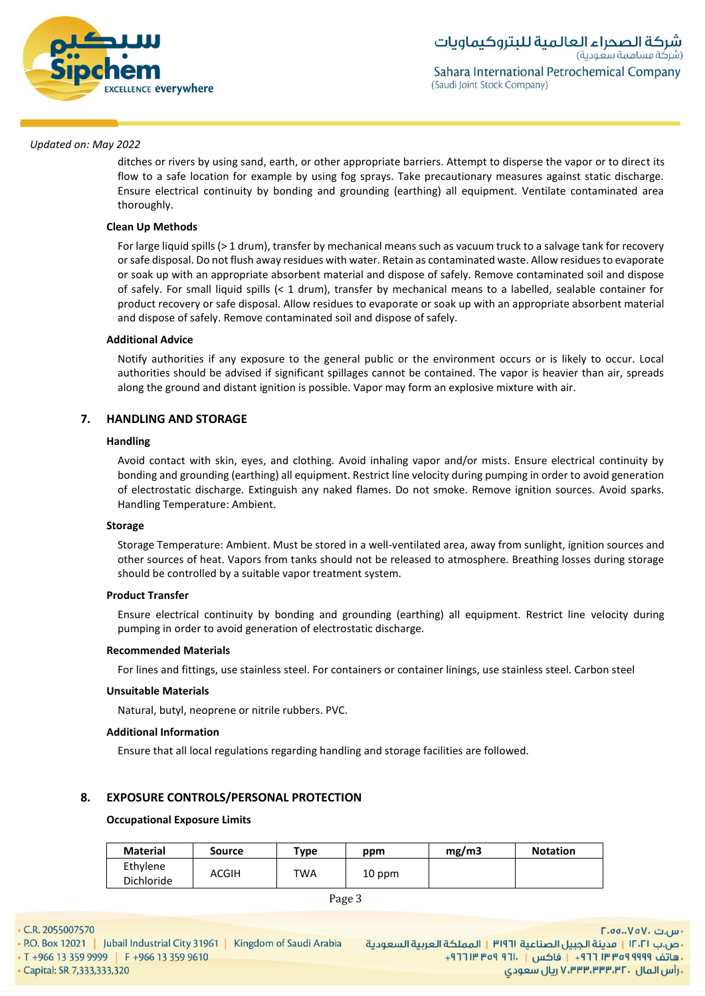

ditches or rivers by using sand, earth, or other appropriate barriers. Attempt to disperse the vapor or to direct its flow to a safe location for example by using fog sprays. Take precautionary measures against static discharge. Ensure electrical continuity by bonding and grounding (earthing) all equipment. Ventilate contaminated area thoroughly.

## **Clean Up Methods**

For large liquid spills (> 1 drum), transfer by mechanical means such as vacuum truck to a salvage tank for recovery or safe disposal. Do not flush away residues with water. Retain as contaminated waste. Allow residues to evaporate or soak up with an appropriate absorbent material and dispose of safely. Remove contaminated soil and dispose of safely. For small liquid spills (< 1 drum), transfer by mechanical means to a labelled, sealable container for product recovery or safe disposal. Allow residues to evaporate or soak up with an appropriate absorbent material and dispose of safely. Remove contaminated soil and dispose of safely.

#### **Additional Advice**

Notify authorities if any exposure to the general public or the environment occurs or is likely to occur. Local authorities should be advised if significant spillages cannot be contained. The vapor is heavier than air, spreads along the ground and distant ignition is possible. Vapor may form an explosive mixture with air.

## **7. HANDLING AND STORAGE**

#### **Handling**

Avoid contact with skin, eyes, and clothing. Avoid inhaling vapor and/or mists. Ensure electrical continuity by bonding and grounding (earthing) all equipment. Restrict line velocity during pumping in order to avoid generation of electrostatic discharge. Extinguish any naked flames. Do not smoke. Remove ignition sources. Avoid sparks. Handling Temperature: Ambient.

#### **Storage**

Storage Temperature: Ambient. Must be stored in a well-ventilated area, away from sunlight, ignition sources and other sources of heat. Vapors from tanks should not be released to atmosphere. Breathing losses during storage should be controlled by a suitable vapor treatment system.

#### **Product Transfer**

Ensure electrical continuity by bonding and grounding (earthing) all equipment. Restrict line velocity during pumping in order to avoid generation of electrostatic discharge.

#### **Recommended Materials**

For lines and fittings, use stainless steel. For containers or container linings, use stainless steel. Carbon steel

#### **Unsuitable Materials**

Natural, butyl, neoprene or nitrile rubbers. PVC.

#### **Additional Information**

Ensure that all local regulations regarding handling and storage facilities are followed.

## **8. EXPOSURE CONTROLS/PERSONAL PROTECTION**

#### **Occupational Exposure Limits**

| <b>Material</b>        | Source | $\tau$ <sub>ype</sub> | ppm    | mg/m3 | <b>Notation</b> |
|------------------------|--------|-----------------------|--------|-------|-----------------|
| Ethylene<br>Dichloride | ACGIH  | TWA                   | 10 ppm |       |                 |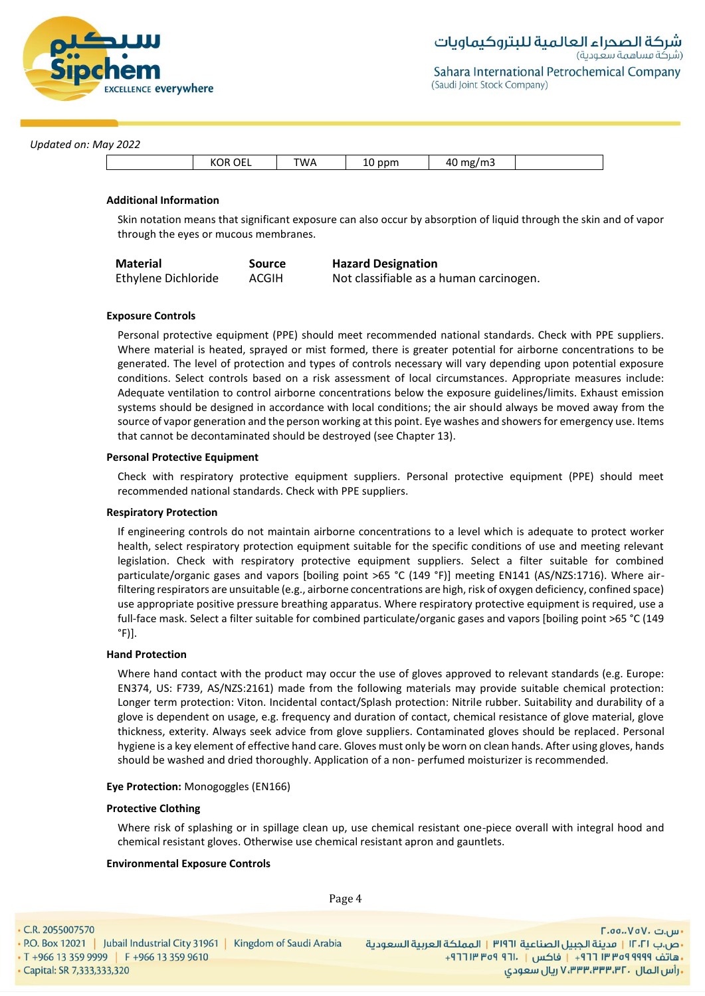

Sahara International Petrochemical Company (Saudi Joint Stock Company)

#### *Updated on: May 2022*

| KOR OEL |
|---------|
|---------|

### **Additional Information**

Skin notation means that significant exposure can also occur by absorption of liquid through the skin and of vapor through the eyes or mucous membranes.

| <b>Material</b>     | <b>Source</b> | <b>Hazard Designation</b>               |
|---------------------|---------------|-----------------------------------------|
| Ethylene Dichloride | ACGIH         | Not classifiable as a human carcinogen. |

#### **Exposure Controls**

Personal protective equipment (PPE) should meet recommended national standards. Check with PPE suppliers. Where material is heated, sprayed or mist formed, there is greater potential for airborne concentrations to be generated. The level of protection and types of controls necessary will vary depending upon potential exposure conditions. Select controls based on a risk assessment of local circumstances. Appropriate measures include: Adequate ventilation to control airborne concentrations below the exposure guidelines/limits. Exhaust emission systems should be designed in accordance with local conditions; the air should always be moved away from the source of vapor generation and the person working at this point. Eye washes and showers for emergency use. Items that cannot be decontaminated should be destroyed (see Chapter 13).

#### **Personal Protective Equipment**

Check with respiratory protective equipment suppliers. Personal protective equipment (PPE) should meet recommended national standards. Check with PPE suppliers.

#### **Respiratory Protection**

If engineering controls do not maintain airborne concentrations to a level which is adequate to protect worker health, select respiratory protection equipment suitable for the specific conditions of use and meeting relevant legislation. Check with respiratory protective equipment suppliers. Select a filter suitable for combined particulate/organic gases and vapors [boiling point >65 °C (149 °F)] meeting EN141 (AS/NZS:1716). Where airfiltering respirators are unsuitable (e.g., airborne concentrations are high, risk of oxygen deficiency, confined space) use appropriate positive pressure breathing apparatus. Where respiratory protective equipment is required, use a full-face mask. Select a filter suitable for combined particulate/organic gases and vapors [boiling point >65 °C (149  $\degree$ F)].

## **Hand Protection**

Where hand contact with the product may occur the use of gloves approved to relevant standards (e.g. Europe: EN374, US: F739, AS/NZS:2161) made from the following materials may provide suitable chemical protection: Longer term protection: Viton. Incidental contact/Splash protection: Nitrile rubber. Suitability and durability of a glove is dependent on usage, e.g. frequency and duration of contact, chemical resistance of glove material, glove thickness, exterity. Always seek advice from glove suppliers. Contaminated gloves should be replaced. Personal hygiene is a key element of effective hand care. Gloves must only be worn on clean hands. After using gloves, hands should be washed and dried thoroughly. Application of a non- perfumed moisturizer is recommended.

#### **Eye Protection:** Monogoggles (EN166)

#### **Protective Clothing**

Where risk of splashing or in spillage clean up, use chemical resistant one-piece overall with integral hood and chemical resistant gloves. Otherwise use chemical resistant apron and gauntlets.

#### **Environmental Exposure Controls**

Page 4

C.R. 2055007570 • P.O. Box 12021 | Jubail Industrial City 31961 | Kingdom of Saudi Arabia · T +966 13 359 9999 | F +966 13 359 9610 - Capital: SR 7,333,333,320

- س.ت ۷۵۷۰، ۲۰۵۵، ۲۰ •ص.ب ١٢٠٢١ | مدينة الجبيل الصناعية ٣١٩٦١ | المملكة العربية السعودية - هاتف ٩٩٩٩ ٩٥٩ ٣٣ ٣ ٢٦١ - واكس | ٢٦١٠ - ٣٥٩ ١٣ ٢٦٢ ريال سعودي, ۷٬۳۳۳٬۳۳۳٬۳۲۰ ريال سعودي,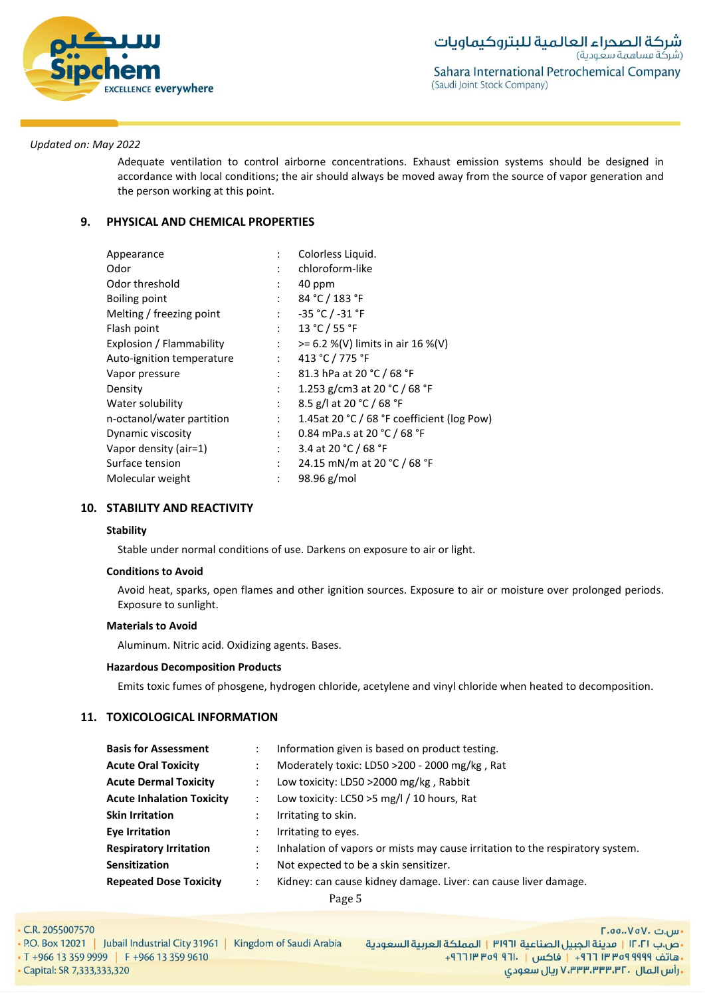

Adequate ventilation to control airborne concentrations. Exhaust emission systems should be designed in accordance with local conditions; the air should always be moved away from the source of vapor generation and the person working at this point.

## **9. PHYSICAL AND CHEMICAL PROPERTIES**

| Appearance                |                           | Colorless Liquid.                          |
|---------------------------|---------------------------|--------------------------------------------|
| Odor                      |                           | chloroform-like                            |
| Odor threshold            |                           | 40 ppm                                     |
| Boiling point             | $\ddot{\cdot}$            | 84 °C / 183 °F                             |
| Melting / freezing point  | $\mathcal{L}$             | $-35 °C / -31 °F$                          |
| Flash point               | $\ddot{\phantom{0}}$      | 13 °C / 55 °F                              |
| Explosion / Flammability  | $\mathbb{R}^{\mathbb{Z}}$ | $>= 6.2 % (V)$ limits in air 16 %(V)       |
| Auto-ignition temperature | $\mathbb{R}^{\mathbb{Z}}$ | 413 °C / 775 °F                            |
| Vapor pressure            |                           | 81.3 hPa at 20 °C / 68 °F                  |
| Density                   | $\ddot{\phantom{0}}$      | 1.253 g/cm3 at 20 °C / 68 °F               |
| Water solubility          | $\mathbb{R}^{\mathbb{Z}}$ | 8.5 g/l at 20 °C / 68 °F                   |
| n-octanol/water partition | $\ddot{\phantom{a}}$      | 1.45at 20 °C / 68 °F coefficient (log Pow) |
| Dynamic viscosity         | $\ddot{\phantom{0}}$      | 0.84 mPa.s at 20 °C / 68 °F                |
| Vapor density (air=1)     | $\mathbb{R}^{\mathbb{Z}}$ | 3.4 at 20 °C / 68 °F                       |
| Surface tension           | ÷                         | 24.15 mN/m at 20 °C / 68 °F                |
| Molecular weight          |                           | 98.96 g/mol                                |

## **10. STABILITY AND REACTIVITY**

## **Stability**

Stable under normal conditions of use. Darkens on exposure to air or light.

#### **Conditions to Avoid**

Avoid heat, sparks, open flames and other ignition sources. Exposure to air or moisture over prolonged periods. Exposure to sunlight.

#### **Materials to Avoid**

Aluminum. Nitric acid. Oxidizing agents. Bases.

#### **Hazardous Decomposition Products**

Emits toxic fumes of phosgene, hydrogen chloride, acetylene and vinyl chloride when heated to decomposition.

## **11. TOXICOLOGICAL INFORMATION**

| <b>Basis for Assessment</b>      | Information given is based on product testing.                                |
|----------------------------------|-------------------------------------------------------------------------------|
| <b>Acute Oral Toxicity</b>       | Moderately toxic: LD50 >200 - 2000 mg/kg, Rat                                 |
| <b>Acute Dermal Toxicity</b>     | Low toxicity: LD50 >2000 mg/kg, Rabbit                                        |
| <b>Acute Inhalation Toxicity</b> | Low toxicity: LC50 >5 mg/l / 10 hours, Rat                                    |
| <b>Skin Irritation</b>           | Irritating to skin.                                                           |
| <b>Eye Irritation</b>            | Irritating to eyes.                                                           |
| <b>Respiratory Irritation</b>    | Inhalation of vapors or mists may cause irritation to the respiratory system. |
| <b>Sensitization</b>             | Not expected to be a skin sensitizer.                                         |
| <b>Repeated Dose Toxicity</b>    | Kidney: can cause kidney damage. Liver: can cause liver damage.               |

| C.R. 2055007570                                                         | $\Gamma$ .00 $\vee$ o $\vee$ . س ان $\cdot$                        |
|-------------------------------------------------------------------------|--------------------------------------------------------------------|
| P.O. Box 12021   Jubail Industrial City 31961   Kingdom of Saudi Arabia | ٠ص.ب ١٢٠٢١   قدينة الحبيل الصناعية ٣١٩٦   المملكة العربية السعودية |
| $T + 966$ 13 359 9999 F +966 13 359 9610                                | ـ هاتف ٩٩٩٩ ٩٩٩٩ ٣٦٦ - ١ إ فاكس   ١٦٠٠ ١٣ ٩٩٩ ١٣ ١٦٦ +             |
| Capital: SR 7,333,333,320                                               |                                                                    |
|                                                                         |                                                                    |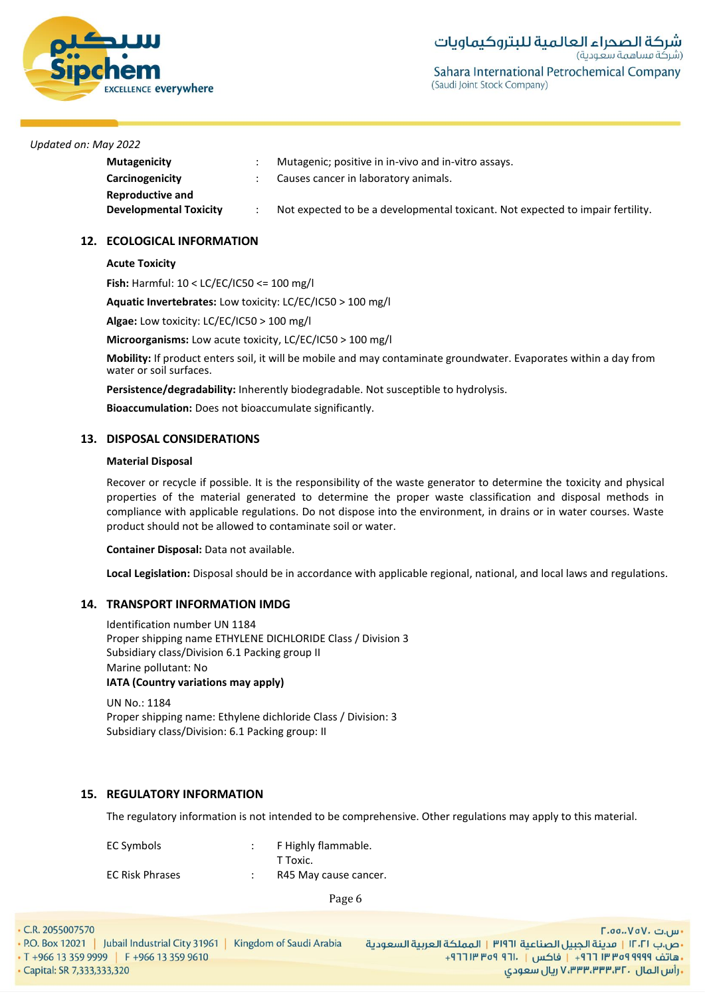

| <b>Mutagenicity</b>           | Mutagenic; positive in in-vivo and in-vitro assays.                            |
|-------------------------------|--------------------------------------------------------------------------------|
| Carcinogenicity               | Causes cancer in laboratory animals.                                           |
| Reproductive and              |                                                                                |
| <b>Developmental Toxicity</b> | Not expected to be a developmental toxicant. Not expected to impair fertility. |

## **12. ECOLOGICAL INFORMATION**

## **Acute Toxicity**

**Fish:** Harmful: 10 < LC/EC/IC50 <= 100 mg/l

**Aquatic Invertebrates:** Low toxicity: LC/EC/IC50 > 100 mg/l

**Algae:** Low toxicity: LC/EC/IC50 > 100 mg/l

**Microorganisms:** Low acute toxicity, LC/EC/IC50 > 100 mg/l

**Mobility:** If product enters soil, it will be mobile and may contaminate groundwater. Evaporates within a day from water or soil surfaces.

**Persistence/degradability:** Inherently biodegradable. Not susceptible to hydrolysis.

**Bioaccumulation:** Does not bioaccumulate significantly.

## **13. DISPOSAL CONSIDERATIONS**

## **Material Disposal**

Recover or recycle if possible. It is the responsibility of the waste generator to determine the toxicity and physical properties of the material generated to determine the proper waste classification and disposal methods in compliance with applicable regulations. Do not dispose into the environment, in drains or in water courses. Waste product should not be allowed to contaminate soil or water.

**Container Disposal:** Data not available.

**Local Legislation:** Disposal should be in accordance with applicable regional, national, and local laws and regulations.

## **14. TRANSPORT INFORMATION IMDG**

Identification number UN 1184 Proper shipping name ETHYLENE DICHLORIDE Class / Division 3 Subsidiary class/Division 6.1 Packing group II Marine pollutant: No **IATA (Country variations may apply)**

UN No.: 1184 Proper shipping name: Ethylene dichloride Class / Division: 3 Subsidiary class/Division: 6.1 Packing group: II

## **15. REGULATORY INFORMATION**

The regulatory information is not intended to be comprehensive. Other regulations may apply to this material.

| EC Symbols             | F Highly flammable.   |
|------------------------|-----------------------|
|                        | T Toxic.              |
| <b>EC Risk Phrases</b> | R45 May cause cancer. |

| $\cdot$ C.R. 2055007570                       |                         | ۰ س.ت .\vaV. تس                                                     |
|-----------------------------------------------|-------------------------|---------------------------------------------------------------------|
| P.O. Box 12021   Jubail Industrial City 31961 | Kingdom of Saudi Arabia | •ص.ب ١٢٠٢١   مدينة الجبيل الصناعية ٣١٩٦١   المملكة العربية السعودية |
| ■ T +966 13 359 9999 F +966 13 359 9610       |                         | ـ هاتف ٩٩٩٩ ٩٩٩٩ ٣ ٣٣٣٦ ١٣ فاكس   . ١٦٦ ٩٩٩ ١٣ ٢٦٦ +                |
| • Capital: SR 7,333,333,320                   |                         | ، رأس الـمال  ، ۷٬۳۳۳٬۳۳۳٬۳۲ ریال سعودی                             |
|                                               |                         |                                                                     |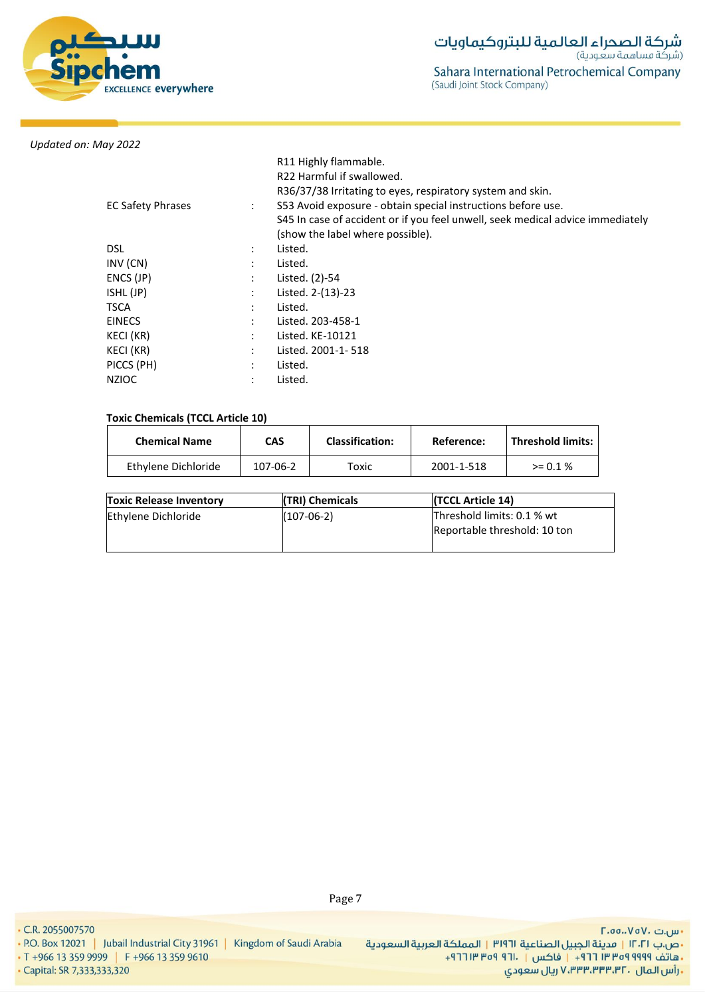

| <b>EC Safety Phrases</b> | $\ddot{\phantom{a}}$ | R11 Highly flammable.<br>R22 Harmful if swallowed.<br>R36/37/38 Irritating to eyes, respiratory system and skin.<br>S53 Avoid exposure - obtain special instructions before use.<br>S45 In case of accident or if you feel unwell, seek medical advice immediately<br>(show the label where possible). |
|--------------------------|----------------------|--------------------------------------------------------------------------------------------------------------------------------------------------------------------------------------------------------------------------------------------------------------------------------------------------------|
| <b>DSL</b>               | $\bullet$            | Listed.                                                                                                                                                                                                                                                                                                |
| INV (CN)                 |                      | Listed.                                                                                                                                                                                                                                                                                                |
| ENCS (JP)                |                      | Listed. (2)-54                                                                                                                                                                                                                                                                                         |
| ISHL (JP)                |                      | Listed. 2-(13)-23                                                                                                                                                                                                                                                                                      |
| TSCA                     |                      | Listed.                                                                                                                                                                                                                                                                                                |
| <b>EINECS</b>            |                      | Listed. 203-458-1                                                                                                                                                                                                                                                                                      |
| KECI (KR)                |                      | Listed. KE-10121                                                                                                                                                                                                                                                                                       |
| KECI (KR)                |                      | Listed. 2001-1-518                                                                                                                                                                                                                                                                                     |
| PICCS (PH)               |                      | Listed.                                                                                                                                                                                                                                                                                                |
| <b>NZIOC</b>             |                      | Listed.                                                                                                                                                                                                                                                                                                |

## **Toxic Chemicals (TCCL Article 10)**

| <b>Chemical Name</b> | <b>CAS</b> | <b>Classification:</b> | Reference: | l Threshold limits: |
|----------------------|------------|------------------------|------------|---------------------|
| Ethylene Dichloride  | 107-06-2   | тохіс                  | 2001-1-518 | $> = 0.1 \%$        |

| <b>Toxic Release Inventory</b> | (TRI) Chemicals | (TCCL Article 14)                                          |
|--------------------------------|-----------------|------------------------------------------------------------|
| Ethylene Dichloride            | $(107-06-2)$    | Threshold limits: 0.1 % wt<br>Reportable threshold: 10 ton |

- س.ت ۷۵۷۰، ۲.۵۵.۰۷۵ •ص.ب ١٢٠٢١ | مدينة الجبيل الصناعية ٣١٩٦١ | المملكة العربية السعودية + هاتف ٩٩٩٩ ٩٥٩ ٣٣ ٣ ٦٦ - ١ فاكس | ٢٦٠١ ٩٣٩ ٣ ٢٦١ الس المال . ۷٬۳۳۳٬۳۳۳٬۳۲ ریال سعودی V٬۳۳۳٬۳۳۳٬

• T +966 13 359 9999 | F +966 13 359 9610